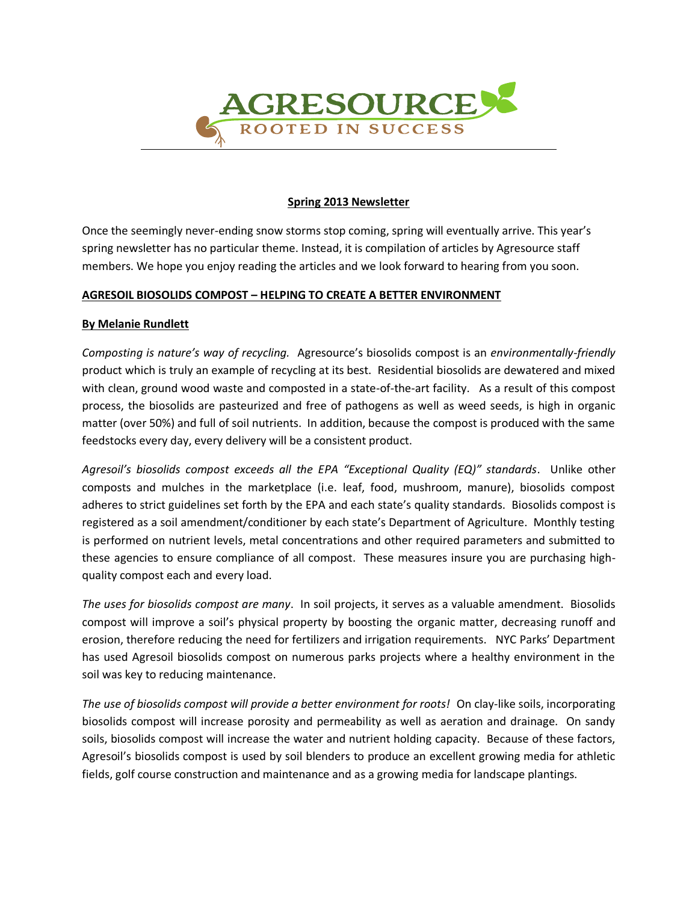

#### **Spring 2013 Newsletter**

Once the seemingly never-ending snow storms stop coming, spring will eventually arrive. This year's spring newsletter has no particular theme. Instead, it is compilation of articles by Agresource staff members. We hope you enjoy reading the articles and we look forward to hearing from you soon.

### **AGRESOIL BIOSOLIDS COMPOST – HELPING TO CREATE A BETTER ENVIRONMENT**

### **By Melanie Rundlett**

*Composting is nature's way of recycling.* Agresource's biosolids compost is an *environmentally-friendly* product which is truly an example of recycling at its best. Residential biosolids are dewatered and mixed with clean, ground wood waste and composted in a state-of-the-art facility. As a result of this compost process, the biosolids are pasteurized and free of pathogens as well as weed seeds, is high in organic matter (over 50%) and full of soil nutrients. In addition, because the compost is produced with the same feedstocks every day, every delivery will be a consistent product.

*Agresoil's biosolids compost exceeds all the EPA "Exceptional Quality (EQ)" standards*. Unlike other composts and mulches in the marketplace (i.e. leaf, food, mushroom, manure), biosolids compost adheres to strict guidelines set forth by the EPA and each state's quality standards. Biosolids compost is registered as a soil amendment/conditioner by each state's Department of Agriculture. Monthly testing is performed on nutrient levels, metal concentrations and other required parameters and submitted to these agencies to ensure compliance of all compost. These measures insure you are purchasing highquality compost each and every load.

*The uses for biosolids compost are many*. In soil projects, it serves as a valuable amendment. Biosolids compost will improve a soil's physical property by boosting the organic matter, decreasing runoff and erosion, therefore reducing the need for fertilizers and irrigation requirements. NYC Parks' Department has used Agresoil biosolids compost on numerous parks projects where a healthy environment in the soil was key to reducing maintenance.

*The use of biosolids compost will provide a better environment for roots!* On clay-like soils, incorporating biosolids compost will increase porosity and permeability as well as aeration and drainage. On sandy soils, biosolids compost will increase the water and nutrient holding capacity. Because of these factors, Agresoil's biosolids compost is used by soil blenders to produce an excellent growing media for athletic fields, golf course construction and maintenance and as a growing media for landscape plantings.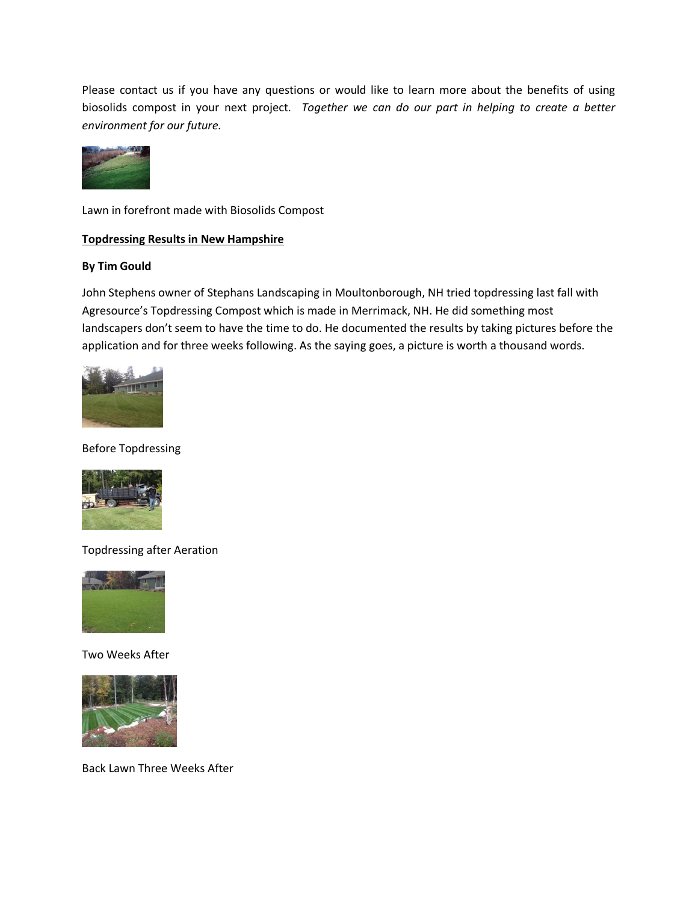Please contact us if you have any questions or would like to learn more about the benefits of using biosolids compost in your next project*. Together we can do our part in helping to create a better environment for our future.*



Lawn in forefront made with Biosolids Compost

## **Topdressing Results in New Hampshire**

## **By Tim Gould**

John Stephens owner of Stephans Landscaping in Moultonborough, NH tried topdressing last fall with Agresource's Topdressing Compost which is made in Merrimack, NH. He did something most landscapers don't seem to have the time to do. He documented the results by taking pictures before the application and for three weeks following. As the saying goes, a picture is worth a thousand words.



Before Topdressing



Topdressing after Aeration



Two Weeks After



Back Lawn Three Weeks After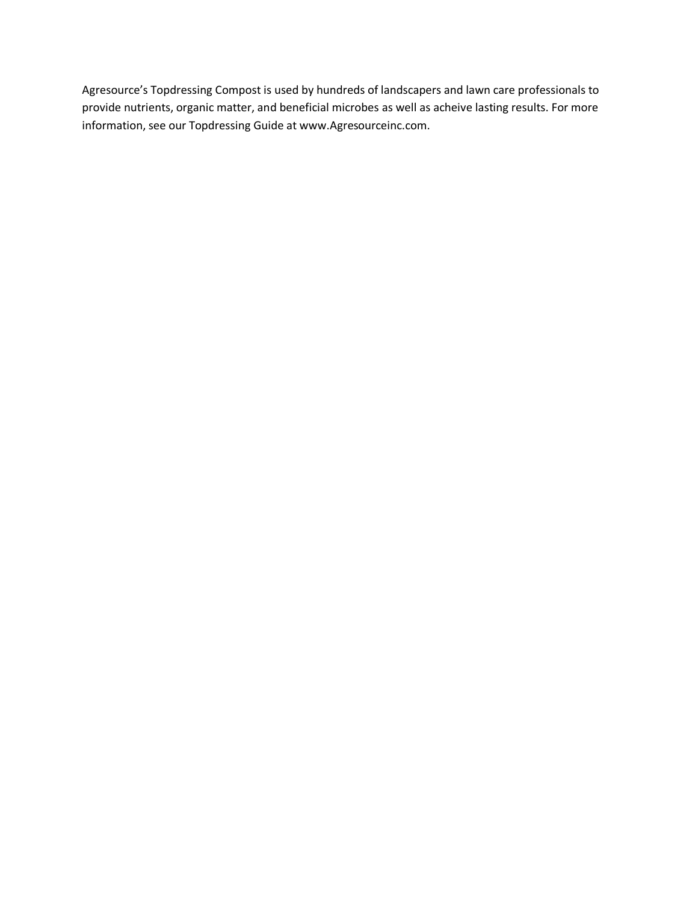Agresource's Topdressing Compost is used by hundreds of landscapers and lawn care professionals to provide nutrients, organic matter, and beneficial microbes as well as acheive lasting results. For more information, see our Topdressing Guide at www.Agresourceinc.com.